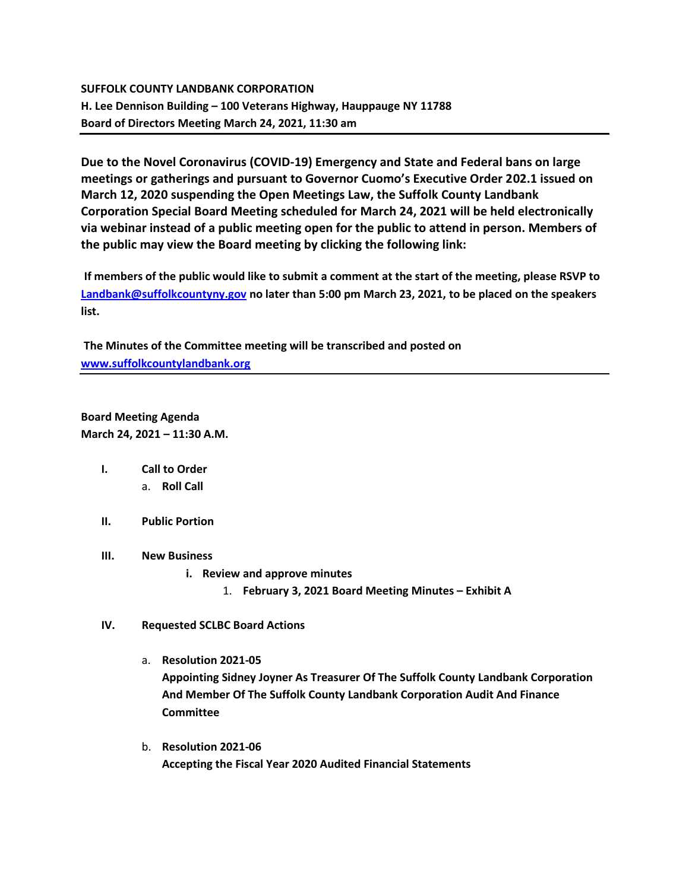## **SUFFOLK COUNTY LANDBANK CORPORATION H. Lee Dennison Building – 100 Veterans Highway, Hauppauge NY 11788 Board of Directors Meeting March 24, 2021, 11:30 am**

**Due to the Novel Coronavirus (COVID-19) Emergency and State and Federal bans on large meetings or gatherings and pursuant to Governor Cuomo's Executive Order 202.1 issued on March 12, 2020 suspending the Open Meetings Law, the Suffolk County Landbank Corporation Special Board Meeting scheduled for March 24, 2021 will be held electronically via webinar instead of a public meeting open for the public to attend in person. Members of the public may view the Board meeting by clicking the following link:**

**If members of the public would like to submit a comment at the start of the meeting, please RSVP to [Landbank@suffolkcountyny.gov](mailto:Landbank@suffolkcountyny.gov) no later than 5:00 pm March 23, 2021, to be placed on the speakers list.** 

**The Minutes of the Committee meeting will be transcribed and posted on [www.suffolkcountylandbank.org](http://www.suffolkcountylandbank.org/)**

**Board Meeting Agenda March 24, 2021 – 11:30 A.M.**

- **I. Call to Order**  a. **Roll Call**
- **II. Public Portion**
- **III. New Business**
	- **i. Review and approve minutes**
		- 1. **February 3, 2021 Board Meeting Minutes – Exhibit A**
- **IV. Requested SCLBC Board Actions** 
	- a. **Resolution 2021-05 Appointing Sidney Joyner As Treasurer Of The Suffolk County Landbank Corporation And Member Of The Suffolk County Landbank Corporation Audit And Finance Committee**
	- b. **Resolution 2021-06 Accepting the Fiscal Year 2020 Audited Financial Statements**